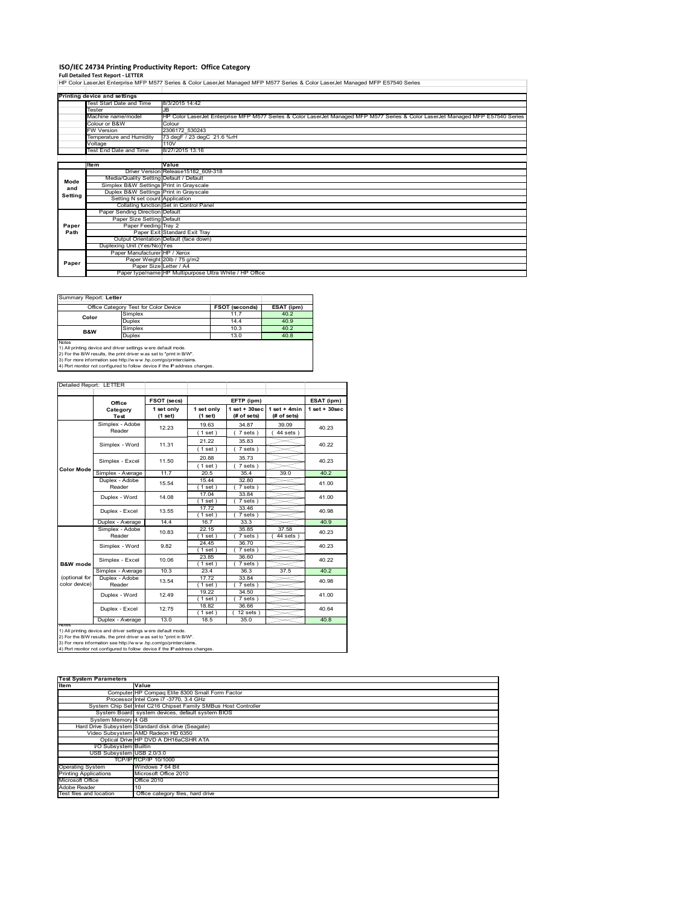## **ISO/IEC 24734 Printing Productivity Report: Office Category**

**Full Detailed Test Report ‐ LETTER** HP Color LaserJet Enterprise MFP M577 Series & Color LaserJet Managed MFP M577 Series & Color LaserJet Managed MFP E57540 Series

|         | Printing device and settings            |                                                                                                                                  |
|---------|-----------------------------------------|----------------------------------------------------------------------------------------------------------------------------------|
|         | Test Start Date and Time                | 8/3/2015 14:42                                                                                                                   |
|         | Tester                                  | JB                                                                                                                               |
|         | Machine name/model                      | HP Color LaserJet Enterprise MFP M577 Series & Color LaserJet Managed MFP M577 Series & Color LaserJet Managed MFP E57540 Series |
|         | Colour or B&W                           | Colour                                                                                                                           |
|         | <b>FW Version</b>                       | 2306172 530243                                                                                                                   |
|         | Temperature and Humidity                | 73 degF / 23 degC 21.6 %rH                                                                                                       |
|         | Voltage                                 | 110V                                                                                                                             |
|         | Test End Date and Time                  | 8/27/2015 13:16                                                                                                                  |
|         |                                         |                                                                                                                                  |
|         | litem                                   | Value                                                                                                                            |
|         |                                         | Driver Version Release15182 609-318                                                                                              |
| Mode    | Media/Quality Setting Default / Default |                                                                                                                                  |
| and     | Simplex B&W Settings Print in Grayscale |                                                                                                                                  |
| Setting | Duplex B&W Settings Print in Grayscale  |                                                                                                                                  |
|         | Setting N set count Application         |                                                                                                                                  |
|         |                                         | Collating function Set in Control Panel                                                                                          |
|         | Paper Sending Direction Default         |                                                                                                                                  |
|         | Paper Size Setting Default              |                                                                                                                                  |
| Paper   | Paper Feeding Tray 2                    |                                                                                                                                  |
| Path    |                                         | Paper Exit Standard Exit Tray                                                                                                    |
|         |                                         | Output Orientation Default (face down)                                                                                           |
|         | Duplexing Unit (Yes/No) Yes             |                                                                                                                                  |
|         | Paper Manufacturer HP / Xerox           |                                                                                                                                  |
|         |                                         | Paper Weight 20lb / 75 g/m2                                                                                                      |
| Paper   |                                         | Paper Size Letter / A4                                                                                                           |
|         |                                         | Paper type/name HP Multipurpose Ultra White / HP Office                                                                          |

| Summary Report: Letter                                                     |                                       |                       |            |  |  |  |
|----------------------------------------------------------------------------|---------------------------------------|-----------------------|------------|--|--|--|
|                                                                            | Office Category Test for Color Device | <b>FSOT (seconds)</b> | ESAT (ipm) |  |  |  |
| Color                                                                      | Simplex                               | 11.7                  | 40.2       |  |  |  |
|                                                                            | <b>Duplex</b>                         | 14.4                  | 40.9       |  |  |  |
|                                                                            | Simplex                               | 10.3                  | 40.2       |  |  |  |
| <b>B&amp;W</b>                                                             | <b>Duplex</b>                         | 13.0                  | 40.8       |  |  |  |
| <b>Notes</b>                                                               |                                       |                       |            |  |  |  |
| 1) All printing device and driver settings were default mode.              |                                       |                       |            |  |  |  |
| 2) For the B/W results, the print driver was set to "print in B/W".        |                                       |                       |            |  |  |  |
| 3) For more information see http://www.hp.com/go/printerclaims.            |                                       |                       |            |  |  |  |
| 4) Port monitor not configured to follow device if the IP address changes. |                                       |                       |            |  |  |  |

| Office                         |                          | FSOT (secs)<br>EFTP (ipm) |                       |                                   | ESAT (ipm)                    |                   |  |
|--------------------------------|--------------------------|---------------------------|-----------------------|-----------------------------------|-------------------------------|-------------------|--|
|                                | Category<br><b>Test</b>  | 1 set only<br>(1 set)     | 1 set only<br>(1 set) | $1$ set + $30$ sec<br>(# of sets) | $1$ set + 4min<br>(# of sets) | $1$ set $+30$ sec |  |
|                                | Simplex - Adobe          | 12.23                     | 19.63                 | 34.87                             | 39.09                         | 40.23             |  |
|                                | Reader                   |                           | (1 set)               | 7 sets)                           | $44$ sets)                    |                   |  |
|                                | Simplex - Word           | 11.31                     | 21.22                 | 35.83                             |                               | 40.22             |  |
|                                |                          |                           | (1 set)               | 7 sets)                           |                               |                   |  |
|                                | Simplex - Excel          | 11.50                     | 20.88                 | 35.73                             |                               | 40.23             |  |
| Color Mode                     |                          |                           | (1 set)               | 7 sets)                           |                               |                   |  |
|                                | Simplex - Average        | 11.7                      | 20.5                  | 35.4                              | 39.0                          | 40.2              |  |
|                                | Duplex - Adobe           | 15.54                     | 15.44                 | 32.80                             |                               | 41.00             |  |
|                                | Reader                   |                           | $1$ set               | 7 sets)                           |                               |                   |  |
|                                | Duplex - Word            | 14.08                     | 17.04                 | 33.84                             |                               | 41.00<br>40.98    |  |
|                                |                          |                           | (1 set)               | 7 sets)                           |                               |                   |  |
|                                | Duplex - Excel           | 13.55                     | 17.72                 | 33.46                             |                               |                   |  |
|                                |                          |                           | $1$ set               | 7 sets)                           |                               |                   |  |
|                                | Duplex - Average         | 14.4                      | 16.7                  | 33.3                              |                               | 40.9              |  |
|                                | Simplex - Adobe          | 10.83                     | 22.15                 | 35.85                             | 37.58                         | 40.23             |  |
|                                | Reader                   |                           | (1 set)               | $7 sets$ )                        | $44$ sets)                    |                   |  |
|                                | Simplex - Word           | 9.82                      | 24.45                 | 36.70                             |                               | 40.23             |  |
|                                |                          |                           | (1 set)               | 7 sets)                           |                               |                   |  |
|                                | Simplex - Excel          | 10.06                     | 23.85                 | 36.60                             |                               | 40.22             |  |
| B&W mode                       |                          | 10.3                      | (1 set)<br>23.4       | 7 sets)                           |                               | 40.2              |  |
|                                | Simplex - Average        |                           |                       | 36.3                              | 37.5                          |                   |  |
| (optional for<br>color device) | Duplex - Adobe<br>Reader | 13.54                     | 17.72                 | 33.84                             |                               | 40.98             |  |
|                                |                          |                           | $1$ set<br>19.22      | 7 sets)<br>34.50                  |                               |                   |  |
|                                | Duplex - Word            | 12.49                     | (1 set)               | 7 sets)                           |                               | 41.00             |  |
|                                |                          |                           | 18.82                 | 36.66                             |                               |                   |  |
|                                | Duplex - Excel           | 12.75                     | $1$ set)              | $12$ sets $)$                     |                               | 40.64             |  |
|                                | Duplex - Average         | 13.0                      | 18.5                  | 35.0                              |                               | 40.8              |  |
| Notes                          |                          |                           |                       |                                   |                               |                   |  |

| <b>Test System Parameters</b> |                                                                 |  |  |  |  |
|-------------------------------|-----------------------------------------------------------------|--|--|--|--|
| Item                          | Value                                                           |  |  |  |  |
|                               | Computer HP Compaq Elite 8300 Small Form Factor                 |  |  |  |  |
|                               | Processor Intel Core i7 -3770, 3.4 GHz                          |  |  |  |  |
|                               | System Chip Set Intel C216 Chipset Family SMBus Host Controller |  |  |  |  |
|                               | System Board system devices, default system BIOS                |  |  |  |  |
| System Memory 4 GB            |                                                                 |  |  |  |  |
|                               | Hard Drive Subsystem Standard disk drive (Seagate)              |  |  |  |  |
|                               | Video Subsystem AMD Radeon HD 6350                              |  |  |  |  |
|                               | Optical Drive HP DVD A DH16aCSHR ATA                            |  |  |  |  |
| VO Subsystem Builtin          |                                                                 |  |  |  |  |
| USB Subsystem USB 2.0/3.0     |                                                                 |  |  |  |  |
|                               | TCP/IPITCP/IP 10/1000                                           |  |  |  |  |
| <b>Operating System</b>       | Windows 7 64 Bit                                                |  |  |  |  |
| <b>Printing Applications</b>  | Microsoft Office 2010                                           |  |  |  |  |
| Microsoft Office              | Office 2010                                                     |  |  |  |  |
| Adobe Reader                  |                                                                 |  |  |  |  |
| Test files and location       | Office category files, hard drive                               |  |  |  |  |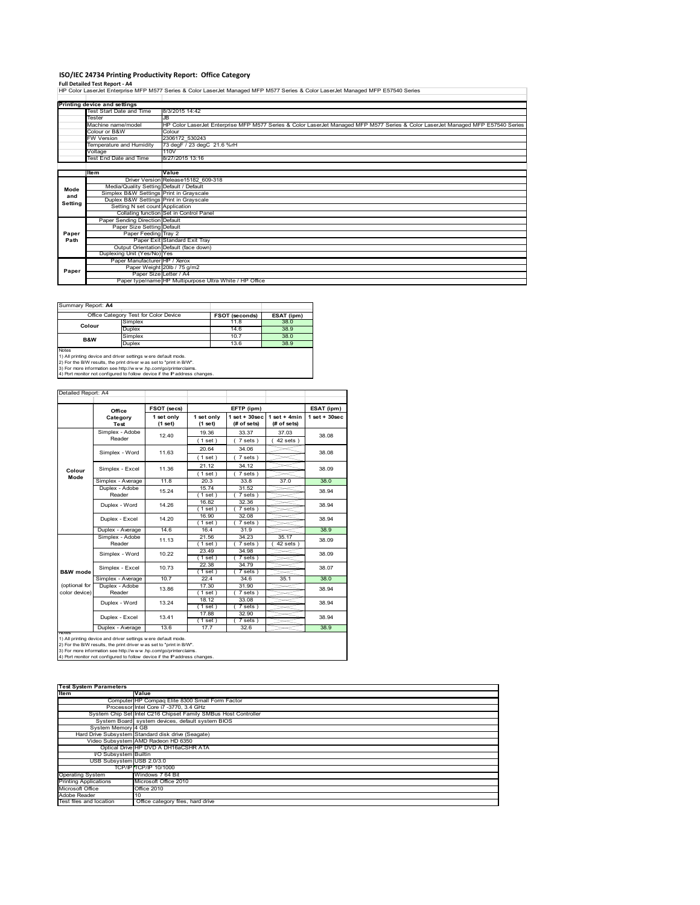# **ISO/IEC 24734 Printing Productivity Report: Office Category**

**Full Detailed Test Report ‐ A4** HP Color LaserJet Enterprise MFP M577 Series & Color LaserJet Managed MFP M577 Series & Color LaserJet Managed MFP E57540 Series

|         | Printing device and settings            |                                                                                                                                  |
|---------|-----------------------------------------|----------------------------------------------------------------------------------------------------------------------------------|
|         | Test Start Date and Time                | 8/3/2015 14:42                                                                                                                   |
|         | Tester                                  | JB                                                                                                                               |
|         | Machine name/model                      | HP Color LaserJet Enterprise MFP M577 Series & Color LaserJet Managed MFP M577 Series & Color LaserJet Managed MFP E57540 Series |
|         | Colour or B&W                           | Colour                                                                                                                           |
|         | <b>FW Version</b>                       | 2306172 530243                                                                                                                   |
|         | Temperature and Humidity                | 73 degF / 23 degC 21.6 %rH                                                                                                       |
|         | Voltage                                 | 110V                                                                                                                             |
|         | <b>Test End Date and Time</b>           | 8/27/2015 13:16                                                                                                                  |
|         |                                         |                                                                                                                                  |
|         | <b>Item</b>                             | Value                                                                                                                            |
|         |                                         | Driver Version Release15182 609-318                                                                                              |
| Mode    | Media/Quality Setting Default / Default |                                                                                                                                  |
| and     | Simplex B&W Settings Print in Grayscale |                                                                                                                                  |
| Setting | Duplex B&W Settings Print in Grayscale  |                                                                                                                                  |
|         | Setting N set count Application         |                                                                                                                                  |
|         |                                         | Collating function Set in Control Panel                                                                                          |
|         | Paper Sending Direction Default         |                                                                                                                                  |
|         | Paper Size Setting Default              |                                                                                                                                  |
| Paper   | Paper Feeding Tray 2                    |                                                                                                                                  |
| Path    |                                         | Paper Exit Standard Exit Tray                                                                                                    |
|         |                                         | Output Orientation Default (face down)                                                                                           |
|         | Duplexing Unit (Yes/No) Yes             |                                                                                                                                  |
|         | Paper Manufacturer HP / Xerox           |                                                                                                                                  |
|         |                                         | Paper Weight 20lb / 75 g/m2                                                                                                      |
| Paper   |                                         | Paper Size Letter / A4                                                                                                           |
|         |                                         | Paper type/name HP Multipurpose Ultra White / HP Office                                                                          |

Summary Report: **A4**

|                                                                            | Office Category Test for Color Device | <b>FSOT (seconds)</b> | ESAT (ipm) |  |  |  |
|----------------------------------------------------------------------------|---------------------------------------|-----------------------|------------|--|--|--|
| Colour                                                                     | Simplex                               | 11.8                  | 38.0       |  |  |  |
|                                                                            | <b>Duplex</b>                         | 14.6                  | 38.9       |  |  |  |
| <b>B&amp;W</b>                                                             | Simplex                               | 10.7                  | 38.0       |  |  |  |
|                                                                            | <b>Duplex</b>                         | 13.6                  | 38.9       |  |  |  |
| Notes                                                                      |                                       |                       |            |  |  |  |
| 1) All printing device and driver settings w ere default mode.             |                                       |                       |            |  |  |  |
| 2) For the B/W results, the print driver w as set to "print in B/W".       |                                       |                       |            |  |  |  |
| 3) For more information see http://www.hp.com/go/printerclaims.            |                                       |                       |            |  |  |  |
| 4) Port monitor not configured to follow device if the IP address changes. |                                       |                       |            |  |  |  |

| Detailed Report: A4            |                           |                       |                       |                                  |                               |                   |
|--------------------------------|---------------------------|-----------------------|-----------------------|----------------------------------|-------------------------------|-------------------|
|                                | Office                    | FSOT (secs)           |                       | EFTP (ipm)                       |                               | ESAT (ipm)        |
|                                | Category<br>Test          | 1 set only<br>(1 set) | 1 set only<br>(1 set) | $1$ set $+30$ sec<br>(# of sets) | $1$ set + 4min<br>(# of sets) | $1$ set $+30$ sec |
|                                | Simplex - Adobe<br>Reader | 12.40                 | 19.36<br>(1 set)      | 33.37<br>7 sets)                 | 37.03<br>$42$ sets $)$        | 38.08             |
|                                | Simplex - Word            | 11.63                 | 20.64<br>(1 set)      | 34.06<br>$7 sets$ )              |                               | 38.08             |
| Colour<br>Mode                 | Simplex - Excel           | 11.36                 | 21.12<br>(1 set)      | 34.12<br>7 sets)                 |                               | 38.09             |
|                                | Simplex - Average         | 11.8                  | 20.3                  | 33.8                             | 37.0                          | 38.0              |
|                                | Duplex - Adobe<br>Reader  | 15.24                 | 15.74<br>$1$ set)     | 31.52<br>7 sets)                 |                               | 38.94             |
|                                | Duplex - Word             | 14.26                 | 16.82<br>(1 set)      | 32.36<br>7 sets)                 |                               | 38.94             |
|                                | Duplex - Excel            | 14.20                 | 16.90<br>(1 set)      | 32.08<br>$7 sets$ )              |                               | 38.94             |
|                                | Duplex - Average          | 14.6                  | 16.4                  | 31.9                             |                               | 38.9              |
|                                | Simplex - Adobe<br>Reader | 11.13                 | 21.56<br>$1$ set $)$  | 34.23<br>7 sets)                 | 35.17<br>$42$ sets $)$        | 38.09             |
|                                | Simplex - Word            | 10.22                 | 23.49<br>(1 set)      | 34.98<br>7 sets)                 |                               | 38.09             |
| B&W mode                       | Simplex - Excel           | 10.73                 | 22.38<br>(1 set)      | 34.79<br>7 sets)                 |                               | 38.07             |
|                                | Simplex - Average         | 10.7                  | 22.4                  | 34.6                             | 35.1                          | 38.0              |
| (optional for<br>color device) | Duplex - Adobe<br>Reader  | 13.86                 | 17.30<br>$1$ set)     | 31.90<br>7 sets)                 |                               | 38.94             |
|                                | Duplex - Word             | 13.24                 | 18.12<br>(1 set)      | 33.08<br>7 sets)                 |                               | 38.94             |
|                                | Duplex - Excel            | 13.41                 | 17.88<br>(1 set)      | 32.90<br>7 sets)                 |                               | 38.94             |
| <b>INDIAS</b>                  | Duplex - Average          | 13.6                  | 17.7                  | 32.6                             |                               | 38.9              |

nous<br>1) All printing device and driver settings were default mode.<br>2) For the B/W results, the print driver was set to "print in B/W".<br>3) For more information see http://www.hp.com/go/printerclaims.<br>4) Por monitor not conf

| <b>Test System Parameters</b> |                                                                 |  |  |  |  |
|-------------------------------|-----------------------------------------------------------------|--|--|--|--|
| Item                          | Value                                                           |  |  |  |  |
|                               | Computer HP Compaq Elite 8300 Small Form Factor                 |  |  |  |  |
|                               | Processor Intel Core i7 -3770, 3.4 GHz                          |  |  |  |  |
|                               | System Chip Set Intel C216 Chipset Family SMBus Host Controller |  |  |  |  |
|                               | System Board system devices, default system BIOS                |  |  |  |  |
| System Memory 4 GB            |                                                                 |  |  |  |  |
|                               | Hard Drive Subsystem Standard disk drive (Seagate)              |  |  |  |  |
|                               | Video Subsystem AMD Radeon HD 6350                              |  |  |  |  |
|                               | Optical Drive HP DVD A DH16aCSHR ATA                            |  |  |  |  |
| I/O Subsystem Builtin         |                                                                 |  |  |  |  |
| USB Subsystem USB 2.0/3.0     |                                                                 |  |  |  |  |
|                               | TCP/IP TCP/IP 10/1000                                           |  |  |  |  |
| <b>Operating System</b>       | Windows 7 64 Bit                                                |  |  |  |  |
| <b>Printing Applications</b>  | Microsoft Office 2010                                           |  |  |  |  |
| Microsoft Office              | Office 2010                                                     |  |  |  |  |
| Adobe Reader                  | 10                                                              |  |  |  |  |
| Test files and location       | Office category files, hard drive                               |  |  |  |  |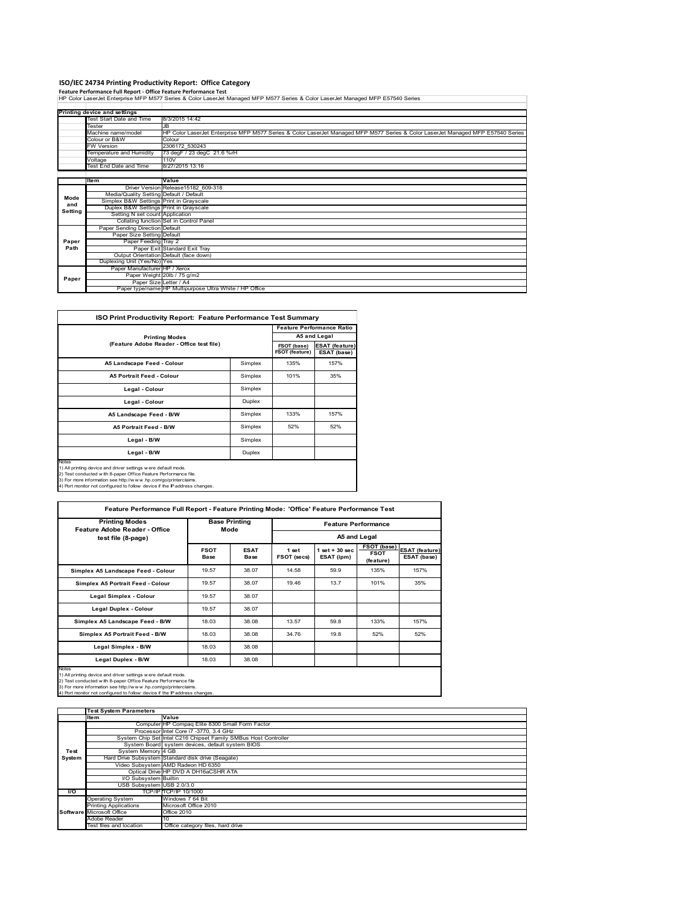**ISO/IEC 24734 Printing Productivity Report: Office Category**<br>Feature Performance Full Report - Office Feature Performance Test<br>HP Color LaserJet Enterprise MFP M577 Series & Color LaserJet Managed MFP M577 Series & Color

|         | Printing device and settings            |                                                                                                                                  |
|---------|-----------------------------------------|----------------------------------------------------------------------------------------------------------------------------------|
|         | Test Start Date and Time                | 8/3/2015 14:42                                                                                                                   |
|         | Tester                                  | J <sub>B</sub>                                                                                                                   |
|         | Machine name/model                      | HP Color LaserJet Enterprise MFP M577 Series & Color LaserJet Managed MFP M577 Series & Color LaserJet Managed MFP E57540 Series |
|         | Colour or B&W                           | Colour                                                                                                                           |
|         | <b>FW Version</b>                       | 2306172 530243                                                                                                                   |
|         | Temperature and Humidity                | 73 degF / 23 degC 21.6 %rH                                                                                                       |
|         | /oltage                                 | 110V                                                                                                                             |
|         | Test End Date and Time                  | 8/27/2015 13:16                                                                                                                  |
|         |                                         |                                                                                                                                  |
|         | litem                                   | Value                                                                                                                            |
|         |                                         | Driver Version Release15182 609-318                                                                                              |
| Mode    | Media/Quality Setting Default / Default |                                                                                                                                  |
| and     | Simplex B&W Settings Print in Grayscale |                                                                                                                                  |
| Setting | Duplex B&W Settings Print in Grayscale  |                                                                                                                                  |
|         | Setting N set count Application         |                                                                                                                                  |
|         |                                         | Collating function Set in Control Panel                                                                                          |
|         | Paper Sending Direction Default         |                                                                                                                                  |
|         | Paper Size Setting Default              |                                                                                                                                  |
| Paper   | Paper Feeding Tray 2                    |                                                                                                                                  |
| Path    |                                         | Paper Exit Standard Exit Tray                                                                                                    |
|         |                                         | Output Orientation Default (face down)                                                                                           |
|         | Duplexing Unit (Yes/No) Yes             |                                                                                                                                  |
|         | Paper Manufacturer HP / Xerox           |                                                                                                                                  |
| Paper   |                                         | Paper Weight 20lb / 75 g/m2                                                                                                      |
|         |                                         | Paper Size Letter / A4                                                                                                           |
|         |                                         | Paper type/name HP Multipurpose Ultra White / HP Office                                                                          |

| <b>ISO Print Productivity Report: Feature Performance Test Summary</b>                                                                                                                                                                                                                             |         |      |                                      |  |  |
|----------------------------------------------------------------------------------------------------------------------------------------------------------------------------------------------------------------------------------------------------------------------------------------------------|---------|------|--------------------------------------|--|--|
|                                                                                                                                                                                                                                                                                                    |         |      | <b>Feature Performance Ratio</b>     |  |  |
| <b>Printing Modes</b>                                                                                                                                                                                                                                                                              |         |      | A5 and Legal                         |  |  |
| (Feature Adobe Reader - Office test file)                                                                                                                                                                                                                                                          |         |      | <b>ESAT (feature)</b><br>ESAT (base) |  |  |
| A5 Landscape Feed - Colour                                                                                                                                                                                                                                                                         | Simplex | 135% | 157%                                 |  |  |
| <b>A5 Portrait Feed - Colour</b>                                                                                                                                                                                                                                                                   | Simplex | 101% | 35%                                  |  |  |
| Legal - Colour                                                                                                                                                                                                                                                                                     | Simplex |      |                                      |  |  |
| Legal - Colour                                                                                                                                                                                                                                                                                     | Duplex  |      |                                      |  |  |
| A5 Landscape Feed - B/W                                                                                                                                                                                                                                                                            | Simplex | 133% | 157%                                 |  |  |
| <b>A5 Portrait Feed - B/W</b>                                                                                                                                                                                                                                                                      | Simplex | 52%  | 52%                                  |  |  |
| Legal - B/W                                                                                                                                                                                                                                                                                        | Simplex |      |                                      |  |  |
| Legal - B/W                                                                                                                                                                                                                                                                                        | Duplex  |      |                                      |  |  |
| <b>Notes</b><br>1) All printing device and driver settings w ere default mode.<br>2) Test conducted with 8-paper Office Feature Performance file.<br>3) For more information see http://www.hp.com/go/printerclaims.<br>4) Port monitor not configured to follow device if the IP address changes. |         |      |                                      |  |  |

| <b>Printing Modes</b><br>Feature Adobe Reader - Office                                                                                                                                                                                                                                     |                     | <b>Base Printing</b> |                      | <b>Feature Performance</b><br>A5 and Legal |                                         |                                      |  |  |
|--------------------------------------------------------------------------------------------------------------------------------------------------------------------------------------------------------------------------------------------------------------------------------------------|---------------------|----------------------|----------------------|--------------------------------------------|-----------------------------------------|--------------------------------------|--|--|
| test file (8-page)                                                                                                                                                                                                                                                                         | Mode                |                      |                      |                                            |                                         |                                      |  |  |
|                                                                                                                                                                                                                                                                                            | <b>FSOT</b><br>Base | <b>ESAT</b><br>Base  | 1 set<br>FSOT (secs) | $1$ set $+30$ sec<br>ESAT (ipm)            | FSOT (base)<br><b>FSOT</b><br>(feature) | <b>ESAT (feature)</b><br>ESAT (base) |  |  |
| Simplex A5 Landscape Feed - Colour                                                                                                                                                                                                                                                         | 19.57               | 38.07                | 14.58                | 59.9                                       | 135%                                    | 157%                                 |  |  |
| Simplex A5 Portrait Feed - Colour                                                                                                                                                                                                                                                          | 19.57               | 38.07                | 19.46                | 13.7                                       | 101%                                    | 35%                                  |  |  |
| <b>Legal Simplex - Colour</b>                                                                                                                                                                                                                                                              | 19.57               | 38.07                |                      |                                            |                                         |                                      |  |  |
| Legal Duplex - Colour                                                                                                                                                                                                                                                                      | 19.57               | 38.07                |                      |                                            |                                         |                                      |  |  |
| Simplex A5 Landscape Feed - B/W                                                                                                                                                                                                                                                            | 18.03               | 38.08                | 13.57                | 59.8                                       | 133%                                    | 157%                                 |  |  |
| Simplex A5 Portrait Feed - B/W                                                                                                                                                                                                                                                             | 18.03               | 38.08                | 34.76                | 19.8                                       | 52%                                     | 52%                                  |  |  |
| Legal Simplex - B/W                                                                                                                                                                                                                                                                        | 18.03               | 38.08                |                      |                                            |                                         |                                      |  |  |
| Legal Duplex - B/W                                                                                                                                                                                                                                                                         | 18.03               | 38.08                |                      |                                            |                                         |                                      |  |  |
| Notes<br>1) All printing device and driver settings w ere default mode.<br>2) Test conducted with 8-paper Office Feature Performance file<br>3) For more information see http://www.hp.com/go/printerclaims.<br>4) Port monitor not configured to follow device if the IP address changes. |                     |                      |                      |                                            |                                         |                                      |  |  |

|           | <b>Test System Parameters</b> |                                                                 |
|-----------|-------------------------------|-----------------------------------------------------------------|
|           | ltem                          | Value                                                           |
|           |                               | Computer HP Compaq Elite 8300 Small Form Factor                 |
|           |                               | Processor Intel Core i7 -3770, 3.4 GHz                          |
|           |                               | System Chip Set Intel C216 Chipset Family SMBus Host Controller |
|           |                               | System Board system devices, default system BIOS                |
| Test      | System Memory 4 GB            |                                                                 |
| System    |                               | Hard Drive Subsystem Standard disk drive (Seagate)              |
|           |                               | Video Subsystem AMD Radeon HD 6350                              |
|           |                               | Optical Drive HP DVD A DH16aCSHR ATA                            |
|           | I/O Subsystem Builtin         |                                                                 |
|           | USB Subsystem USB 2.0/3.0     |                                                                 |
| <b>VO</b> |                               | TCP/IP TCP/IP 10/1000                                           |
|           | <b>Operating System</b>       | Windows 7 64 Bit                                                |
|           | <b>Printing Applications</b>  | Microsoft Office 2010                                           |
|           | Software Microsoft Office     | Office 2010                                                     |
|           | Adobe Reader                  | 10                                                              |
|           | Test files and location       | Office category files, hard drive                               |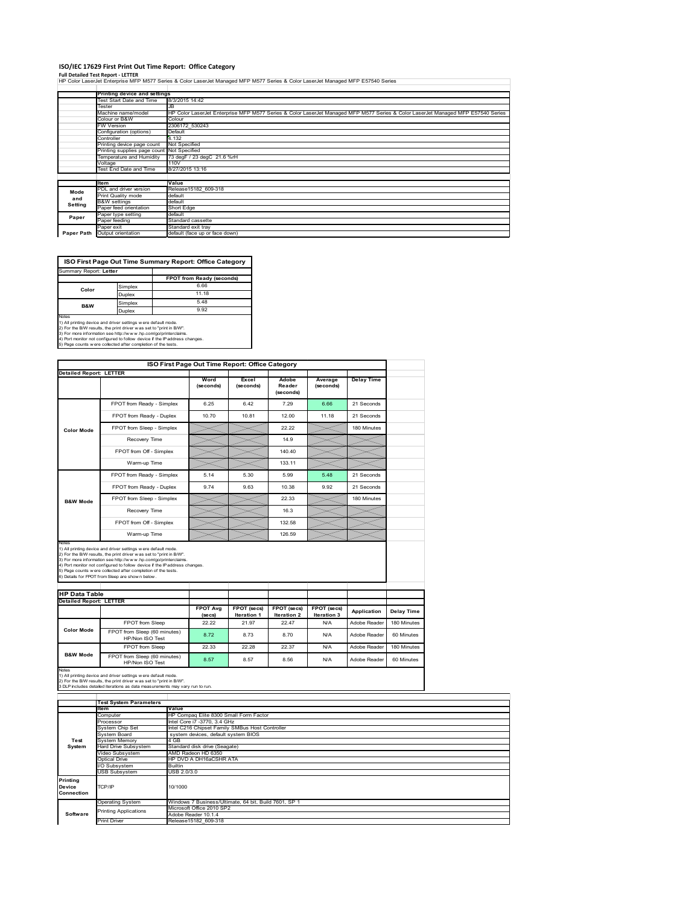### **ISO/IEC 17629 First Print Out Time Report: Office Category**

**Full Detailed Test Report ‐ LETTER** HP Color LaserJet Enterprise MFP M577 Series & Color LaserJet Managed MFP M577 Series & Color LaserJet Managed MFP E57540 Series

|            | Printing device and settings               |                                                                                                                                  |
|------------|--------------------------------------------|----------------------------------------------------------------------------------------------------------------------------------|
|            | Test Start Date and Time                   | 8/3/2015 14:42                                                                                                                   |
|            | Tester                                     | JB                                                                                                                               |
|            | Machine name/model                         | HP Color LaserJet Enterprise MFP M577 Series & Color LaserJet Managed MFP M577 Series & Color LaserJet Managed MFP E57540 Series |
|            | Colour or B&W                              | Colour                                                                                                                           |
|            | FW Version                                 | 2306172 530243                                                                                                                   |
|            | Configuration (options)                    | Default                                                                                                                          |
|            | Controller                                 | 4.132                                                                                                                            |
|            | Printing device page count                 | Not Specified                                                                                                                    |
|            | Printing supplies page count Not Specified |                                                                                                                                  |
|            | Temperature and Humidity                   | 73 degF / 23 degC 21.6 %rH                                                                                                       |
|            | Voltage                                    | 110V                                                                                                                             |
|            | Test End Date and Time                     | 8/27/2015 13:16                                                                                                                  |
|            |                                            |                                                                                                                                  |
|            | ltem                                       | Value                                                                                                                            |
| Mode       | PDL and driver version                     | Release15182 609-318                                                                                                             |
| and        | Print Quality mode                         | default                                                                                                                          |
| Setting    | <b>B&amp;W</b> settings                    | default                                                                                                                          |
|            | Paper feed orientation                     | Short Edge                                                                                                                       |
| Paper      | Paper type setting                         | default                                                                                                                          |
|            | Paper feeding                              | Standard cassette                                                                                                                |
|            | Paper exit                                 | Standard exit tray                                                                                                               |
| Paper Path | Output orientation                         | default (face up or face down)                                                                                                   |



|                                                        | ISO First Page Out Time Report: Office Category<br><b>Detailed Report: LETTER</b>                                                                                                                        |                            |                            |                              |                            |                   |             |
|--------------------------------------------------------|----------------------------------------------------------------------------------------------------------------------------------------------------------------------------------------------------------|----------------------------|----------------------------|------------------------------|----------------------------|-------------------|-------------|
|                                                        |                                                                                                                                                                                                          | Word<br>(seconds)          | Excel<br>(seconds)         | Adobe<br>Reader<br>(seconds) | Average<br>(seconds)       | <b>Delay Time</b> |             |
|                                                        | FPOT from Ready - Simplex                                                                                                                                                                                | 6.25                       | 6.42                       | 7.29                         | 6.66                       | 21 Seconds        |             |
|                                                        | FPOT from Ready - Duplex                                                                                                                                                                                 | 10.70                      | 10.81                      | 12.00                        | 11.18                      | 21 Seconds        |             |
| <b>Color Mode</b>                                      | FPOT from Sleep - Simplex                                                                                                                                                                                |                            |                            | 22.22                        |                            | 180 Minutes       |             |
|                                                        | Recovery Time                                                                                                                                                                                            |                            |                            | 14.9                         |                            |                   |             |
|                                                        | FPOT from Off - Simplex                                                                                                                                                                                  |                            |                            | 140.40                       |                            |                   |             |
|                                                        | Warm-up Time                                                                                                                                                                                             |                            |                            | 133.11                       |                            |                   |             |
|                                                        | FPOT from Ready - Simplex                                                                                                                                                                                | 5.14                       | 5.30                       | 5.99                         | 5.48                       | 21 Seconds        |             |
|                                                        | FPOT from Ready - Duplex                                                                                                                                                                                 | 9.74                       | 9.63                       | 10.38                        | 9.92                       | 21 Seconds        |             |
| <b>B&amp;W Mode</b>                                    | FPOT from Sleep - Simplex                                                                                                                                                                                |                            |                            | 22.33                        |                            | 180 Minutes       |             |
|                                                        | Recovery Time                                                                                                                                                                                            |                            |                            | 16.3                         |                            |                   |             |
|                                                        | FPOT from Off - Simplex                                                                                                                                                                                  |                            |                            | 132.58                       |                            |                   |             |
|                                                        | Warm-up Time                                                                                                                                                                                             |                            |                            | 126.59                       |                            |                   |             |
|                                                        | 1) All printing device and driver settings w ere default mode.<br>2) For the B/W results, the print driver was set to "print in B/W".<br>3) For more information see http://www.hp.com/go/printerclaims. |                            |                            |                              |                            |                   |             |
|                                                        | 4) Port monitor not configured to follow device if the IP address changes.<br>5) Page counts w ere collected after completion of the tests.<br>6) Details for FPOT from Sleep are show n below.          |                            |                            |                              |                            |                   |             |
|                                                        |                                                                                                                                                                                                          |                            |                            |                              |                            |                   |             |
| <b>HP Data Table</b><br><b>Detailed Report: LETTER</b> |                                                                                                                                                                                                          | <b>FPOT Avg</b><br>(se cs) | FPOT (secs)<br>Iteration 1 | FPOT (secs)<br>Iteration 2   | FPOT (secs)<br>Iteration 3 | Application       | Delay Time  |
|                                                        | FPOT from Sleep                                                                                                                                                                                          | 22.22                      | 21.97                      | 22.47                        | N/A                        | Adobe Reader      | 180 Minutes |
| <b>Color Mode</b>                                      | FPOT from Sleep (60 minutes)<br>HP/Non ISO Test                                                                                                                                                          | 8.72                       | 8.73                       | 8.70                         | N/A                        | Adobe Reader      | 60 Minutes  |
| <b>B&amp;W Mode</b>                                    | FPOT from Sleep                                                                                                                                                                                          | 22.33                      | 22.28                      | 22.37                        | N/A                        | Adobe Reader      | 180 Minutes |

**Item Value** omputer HP Compaq Elite 8300 Small Form Factor<br>The Core is the Core is 1770, 3.4 GHz Processor Intel Core i7 -3770, 3.4 GHz<br>System Chip Set Intel C216 Chipset Family SMBus Host Controller<br>System Board system devices, default system BIOS ystem Only Oct<br>ystem Board<br>ard Drive Subsystem<br>ideo Subsystem Hard Drive Subsystem Standard disk drive (Seagate) Video Subsystem AMD Radeon HD 6350 Optical Drive HP DVD A DH16aCSHR ATA Subsystem Builtin USB Subsystem USB 2.0/3.0 Operating System Windows 7 Business/Ultimate, 64 bit, Build 7601, SP 1 Microsoft Office 2010 SP2 Adobe Reader 10.1.4 Print Driver Release15182\_609-318 **Test System Software Test System Parameters Printing Device Connection** TCP/IP 10/1000 inting Applications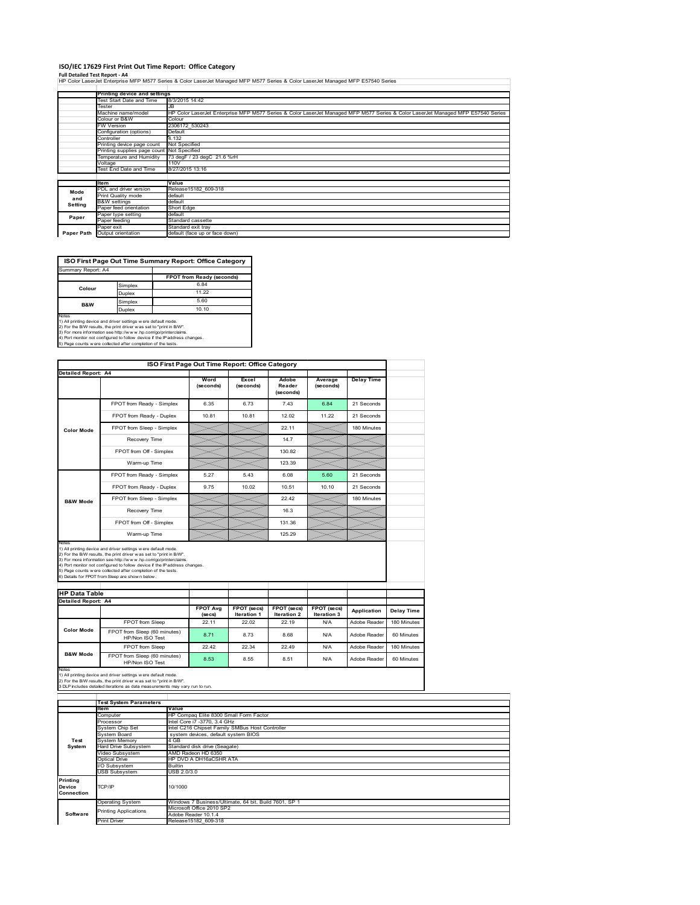#### **ISO/IEC 17629 First Print Out Time Report: Office Category**

**Full Detailed Test Report ‐ A4** HP Color LaserJet Enterprise MFP M577 Series & Color LaserJet Managed MFP M577 Series & Color LaserJet Managed MFP E57540 Series

|            | Printing device and settings               |                                                                                                                                  |  |  |
|------------|--------------------------------------------|----------------------------------------------------------------------------------------------------------------------------------|--|--|
|            | Test Start Date and Time                   | 8/3/2015 14:42                                                                                                                   |  |  |
|            | Tester                                     | JB                                                                                                                               |  |  |
|            | Machine name/model                         | HP Color LaserJet Enterprise MFP M577 Series & Color LaserJet Managed MFP M577 Series & Color LaserJet Managed MFP E57540 Series |  |  |
|            | Colour or B&W<br>Colour                    |                                                                                                                                  |  |  |
|            | <b>FW Version</b>                          | 2306172 530243                                                                                                                   |  |  |
|            | Configuration (options)                    | Default                                                                                                                          |  |  |
|            | Controller                                 | 4.132                                                                                                                            |  |  |
|            | Printing device page count                 | Not Specified                                                                                                                    |  |  |
|            | Printing supplies page count Not Specified |                                                                                                                                  |  |  |
|            | Temperature and Humidity                   | 73 degF / 23 degC 21.6 %rH                                                                                                       |  |  |
|            | Voltage                                    | 110V                                                                                                                             |  |  |
|            | Test End Date and Time                     | 8/27/2015 13:16                                                                                                                  |  |  |
|            |                                            |                                                                                                                                  |  |  |
|            | ltem                                       | Value                                                                                                                            |  |  |
| Mode       | PDL and driver version                     | Release15182 609-318                                                                                                             |  |  |
| and        | Print Quality mode                         | default                                                                                                                          |  |  |
| Setting    | <b>B&amp;W</b> settings                    | default                                                                                                                          |  |  |
|            | Paper feed orientation                     | Short Edge                                                                                                                       |  |  |
| Paper      | Paper type setting                         | default                                                                                                                          |  |  |
|            | Paper feeding                              | Standard cassette                                                                                                                |  |  |
|            | Paper exit                                 | Standard exit tray                                                                                                               |  |  |
| Paper Path | Output orientation                         | default (face up or face down)                                                                                                   |  |  |



Simplex 5.60<br>Duplex 10.10 Duplex **B&W**

Notes<br>1) All printing device and driver settings were default mode.<br>2) For the BAV results, the print driver was set to "print in BAV".<br>3) For more information see http://www.hp.com/golprinterclaims.<br>4) Port monitor not co

| <b>Detailed Report: A4</b>                                  |                                                                                                                                                                                                                                                                                                                                                                                                             | Word<br>(seconds)          | Excel<br>(seconds)                | Adobe<br>Reader<br>(seconds)      | Average<br>(seconds)       | <b>Delay Time</b> |             |
|-------------------------------------------------------------|-------------------------------------------------------------------------------------------------------------------------------------------------------------------------------------------------------------------------------------------------------------------------------------------------------------------------------------------------------------------------------------------------------------|----------------------------|-----------------------------------|-----------------------------------|----------------------------|-------------------|-------------|
|                                                             | FPOT from Ready - Simplex                                                                                                                                                                                                                                                                                                                                                                                   | 6.35                       | 6.73                              | 7.43                              | 6.84                       | 21 Seconds        |             |
|                                                             | FPOT from Ready - Duplex                                                                                                                                                                                                                                                                                                                                                                                    | 10.81                      | 10.81                             | 12.02                             | 11.22                      | 21 Seconds        |             |
| <b>Color Mode</b>                                           | FPOT from Sleep - Simplex                                                                                                                                                                                                                                                                                                                                                                                   |                            |                                   | 22.11                             |                            | 180 Minutes       |             |
|                                                             | Recovery Time                                                                                                                                                                                                                                                                                                                                                                                               |                            |                                   | 14.7                              |                            |                   |             |
|                                                             | FPOT from Off - Simplex                                                                                                                                                                                                                                                                                                                                                                                     |                            |                                   | 130.82                            |                            |                   |             |
|                                                             | Warm-up Time                                                                                                                                                                                                                                                                                                                                                                                                |                            |                                   | 123.39                            |                            |                   |             |
|                                                             | FPOT from Ready - Simplex                                                                                                                                                                                                                                                                                                                                                                                   | 5.27                       | 5.43                              | 6.08                              | 5.60                       | 21 Seconds        |             |
|                                                             | FPOT from Ready - Duplex                                                                                                                                                                                                                                                                                                                                                                                    | 9.75                       | 10.02                             | 10.51                             | 10.10                      | 21 Seconds        |             |
| <b>B&amp;W Mode</b>                                         | FPOT from Sleep - Simplex                                                                                                                                                                                                                                                                                                                                                                                   |                            |                                   | 22.42                             |                            | 180 Minutes       |             |
|                                                             | Recovery Time                                                                                                                                                                                                                                                                                                                                                                                               |                            |                                   | 16.3                              |                            |                   |             |
|                                                             |                                                                                                                                                                                                                                                                                                                                                                                                             |                            |                                   |                                   |                            |                   |             |
|                                                             | FPOT from Off - Simplex                                                                                                                                                                                                                                                                                                                                                                                     |                            |                                   | 131.36                            |                            |                   |             |
|                                                             | Warm-up Time                                                                                                                                                                                                                                                                                                                                                                                                |                            |                                   | 125.29                            |                            |                   |             |
| Notes<br><b>HP Data Table</b><br><b>Detailed Report: A4</b> | 1) All printing device and driver settings w ere default mode.<br>2) For the B/W results, the print driver was set to "print in B/W".<br>3) For more information see http://www.hp.com/go/printerclaims.<br>4) Port monitor not configured to follow device if the IP address changes.<br>5) Page counts w ere collected after completion of the tests.<br>6) Details for FPOT from Sleep are show n below. | <b>FPOT Avg</b><br>(se cs) | FPOT (secs)<br><b>Iteration 1</b> | FPOT (secs)<br><b>Iteration 2</b> | FPOT (secs)<br>Iteration 3 | Application       | Delay Time  |
|                                                             | FPOT from Sleep                                                                                                                                                                                                                                                                                                                                                                                             | 22.11                      | 22.02                             | 22.19                             | N/A                        | Adobe Reader      | 180 Minutes |
| <b>Color Mode</b>                                           | FPOT from Sleep (60 minutes)<br>HP/Non ISO Test                                                                                                                                                                                                                                                                                                                                                             | 8.71                       | 8.73                              | 8.68                              | N/A                        | Adobe Reader      | 60 Minutes  |
| <b>B&amp;W Mode</b>                                         | FPOT from Sleep                                                                                                                                                                                                                                                                                                                                                                                             | 22.42                      | 22.34                             | 22.49                             | N/A                        | Adobe Reader      | 180 Minutes |

|                                  | <b>Test System Parameters</b> |                                                       |
|----------------------------------|-------------------------------|-------------------------------------------------------|
|                                  | ltem                          | Value                                                 |
|                                  | Computer                      | HP Compaq Elite 8300 Small Form Factor                |
|                                  | Processor                     | Intel Core i7 -3770, 3.4 GHz                          |
|                                  | System Chip Set               | Intel C216 Chipset Family SMBus Host Controller       |
|                                  | System Board                  | system devices, default system BIOS                   |
| Test                             | <b>System Memory</b>          | 4 GB                                                  |
| System                           | Hard Drive Subsystem          | Standard disk drive (Seagate)                         |
|                                  | Video Subsystem               | AMD Radeon HD 6350                                    |
|                                  | Optical Drive                 | HP DVD A DH16aCSHR ATA                                |
|                                  | I/O Subsystem                 | <b>Builtin</b>                                        |
|                                  | <b>USB Subsystem</b>          | USB 2.0/3.0                                           |
| Printing<br>Device<br>Connection | TCP/IP                        | 10/1000                                               |
|                                  | <b>Operating System</b>       | Windows 7 Business/Ultimate, 64 bit, Build 7601, SP 1 |
|                                  | <b>Printing Applications</b>  | Microsoft Office 2010 SP2                             |
| Software                         |                               | Adobe Reader 10.1.4                                   |
|                                  | <b>Print Driver</b>           | Release15182 609-318                                  |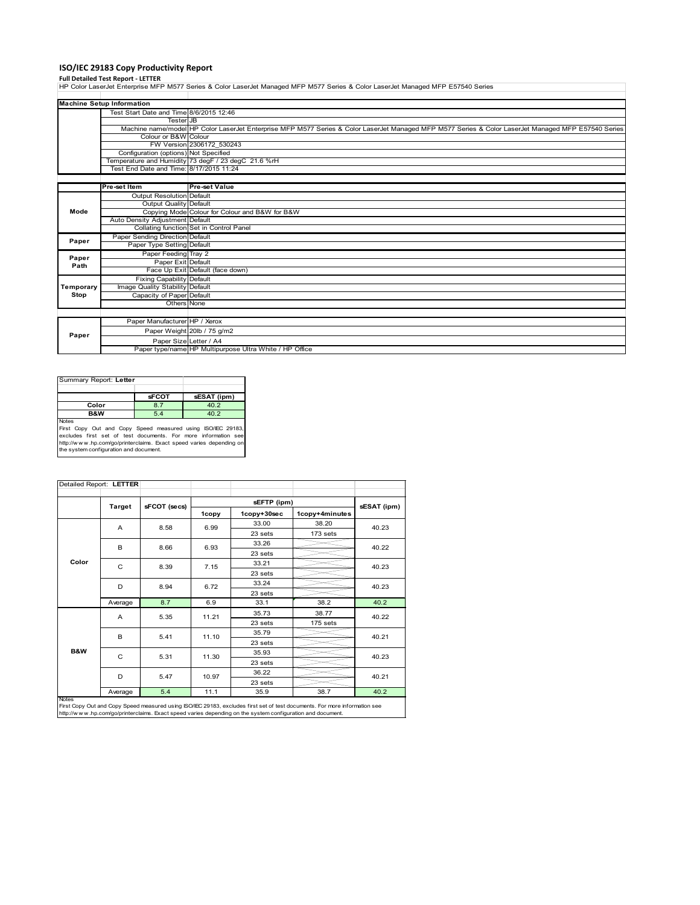# **ISO/IEC 29183 Copy Productivity Report**

**Full Detailed Test Report ‐ LETTER** HP Color LaserJet Enterprise MFP M577 Series & Color LaserJet Managed MFP M577 Series & Color LaserJet Managed MFP E57540 Series

|           | <b>Machine Setup Information</b>        |                                                                                                                                                     |
|-----------|-----------------------------------------|-----------------------------------------------------------------------------------------------------------------------------------------------------|
|           | Test Start Date and Time 8/6/2015 12:46 |                                                                                                                                                     |
|           | <b>Tester</b> JB                        |                                                                                                                                                     |
|           |                                         | Machine name/model HP Color LaserJet Enterprise MFP M577 Series & Color LaserJet Managed MFP M577 Series & Color LaserJet Managed MFP E57540 Series |
|           | Colour or B&W Colour                    |                                                                                                                                                     |
|           |                                         | FW Version 2306172 530243                                                                                                                           |
|           | Configuration (options) Not Specified   |                                                                                                                                                     |
|           |                                         | Temperature and Humidity 73 degF / 23 degC 21.6 %rH                                                                                                 |
|           | Test End Date and Time: 8/17/2015 11:24 |                                                                                                                                                     |
|           |                                         |                                                                                                                                                     |
|           | Pre-set Item                            | <b>Pre-set Value</b>                                                                                                                                |
|           | <b>Output Resolution Default</b>        |                                                                                                                                                     |
|           | Output Quality Default                  |                                                                                                                                                     |
| Mode      |                                         | Copying Mode Colour for Colour and B&W for B&W                                                                                                      |
|           | Auto Density Adjustment Default         |                                                                                                                                                     |
|           |                                         | Collating function Set in Control Panel                                                                                                             |
| Paper     | Paper Sending Direction Default         |                                                                                                                                                     |
|           | Paper Type Setting Default              |                                                                                                                                                     |
| Paper     | Paper Feeding Tray 2                    |                                                                                                                                                     |
| Path      | Paper Exit Default                      |                                                                                                                                                     |
|           |                                         | Face Up Exit Default (face down)                                                                                                                    |
|           | <b>Fixing Capability Default</b>        |                                                                                                                                                     |
| Temporary | Image Quality Stability Default         |                                                                                                                                                     |
| Stop      | Capacity of Paper Default               |                                                                                                                                                     |
|           | Others None                             |                                                                                                                                                     |
|           |                                         |                                                                                                                                                     |
|           | Paper Manufacturer HP / Xerox           |                                                                                                                                                     |
| Paper     |                                         | Paper Weight 20lb / 75 g/m2                                                                                                                         |
|           | Paper Size Letter / A4                  |                                                                                                                                                     |
|           |                                         | Paper type/name HP Multipurpose Ultra White / HP Office                                                                                             |

| Summary Report: Letter                                                                                                                                                                                               |              |             |  |  |  |
|----------------------------------------------------------------------------------------------------------------------------------------------------------------------------------------------------------------------|--------------|-------------|--|--|--|
|                                                                                                                                                                                                                      |              |             |  |  |  |
|                                                                                                                                                                                                                      | <b>sFCOT</b> | sESAT (ipm) |  |  |  |
| Color                                                                                                                                                                                                                | 8.7          | 40.2        |  |  |  |
| <b>B&amp;W</b>                                                                                                                                                                                                       | 5.4          | 40.2        |  |  |  |
| <b>Notes</b><br>First Copy Out and Copy Speed measured using ISO/IEC 29183,<br>excludes first set of test documents. For more information see<br>http://www.hp.com/go/printerclaims. Exact speed varies depending on |              |             |  |  |  |
| the system configuration and document.                                                                                                                                                                               |              |             |  |  |  |

| Detailed Report: LETTER |               |              |       |             |                |             |  |
|-------------------------|---------------|--------------|-------|-------------|----------------|-------------|--|
|                         |               |              |       | sEFTP (ipm) |                |             |  |
|                         | <b>Target</b> | sFCOT (secs) | 1copy | 1copy+30sec | 1copy+4minutes | sESAT (ipm) |  |
|                         | A             | 8.58         | 6.99  | 33.00       | 38.20          | 40.23       |  |
|                         |               |              |       | 23 sets     | 173 sets       |             |  |
|                         | B             | 8.66         | 6.93  | 33.26       |                | 40.22       |  |
|                         |               |              |       | 23 sets     |                |             |  |
| Color                   | C             | 8.39         | 7.15  | 33.21       |                | 40.23       |  |
|                         |               |              |       | 23 sets     |                |             |  |
|                         | D             | 8.94         | 6.72  | 33.24       |                | 40.23       |  |
|                         |               |              |       | 23 sets     |                |             |  |
|                         | Average       | 8.7          | 6.9   | 33.1        | 38.2           | 40.2        |  |
|                         | A             | 5.35         | 11.21 | 35.73       | 38.77          | 40.22       |  |
|                         |               |              |       | 23 sets     | 175 sets       |             |  |
|                         | B             | 5.41         | 11.10 | 35.79       |                | 40.21       |  |
|                         |               |              |       | 23 sets     |                |             |  |
| <b>B&amp;W</b>          | C             | 5.31         | 11.30 | 35.93       |                | 40.23       |  |
|                         |               |              |       | 23 sets     |                |             |  |
|                         | D             | 5.47         | 10.97 | 36.22       |                | 40.21       |  |
|                         |               |              |       | 23 sets     |                |             |  |
| <b>Notes</b>            | Average       | 5.4          | 11.1  | 35.9        | 38.7           | 40.2        |  |

Notes<br>First Copy Out and Copy Speed measured using ISO/IEC 29183, excludes first set of test documents. For more information see<br>http://www.hp.com/go/printerclaims. Exact speed varies depending on the system configuration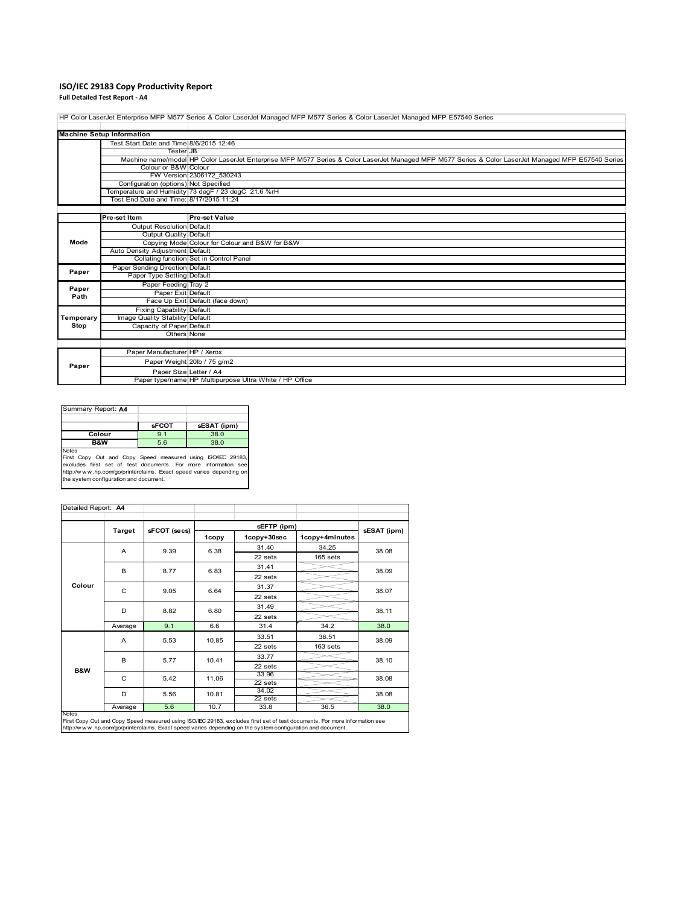# **ISO/IEC 29183 Copy Productivity Report**

**Full Detailed Test Report ‐ A4**

HP Color LaserJet Enterprise MFP M577 Series & Color LaserJet Managed MFP M577 Series & Color LaserJet Managed MFP E57540 Series

|           | <b>Machine Setup Information</b>        |                                                                                                                                                     |
|-----------|-----------------------------------------|-----------------------------------------------------------------------------------------------------------------------------------------------------|
|           | Test Start Date and Time 8/6/2015 12:46 |                                                                                                                                                     |
|           | <b>Tester</b> JB                        |                                                                                                                                                     |
|           |                                         | Machine name/model HP Color LaserJet Enterprise MFP M577 Series & Color LaserJet Managed MFP M577 Series & Color LaserJet Managed MFP E57540 Series |
|           | Colour or B&W Colour                    |                                                                                                                                                     |
|           |                                         | FW Version 2306172 530243                                                                                                                           |
|           | Configuration (options) Not Specified   |                                                                                                                                                     |
|           |                                         | Temperature and Humidity 73 degF / 23 degC 21.6 %rH                                                                                                 |
|           | Test End Date and Time: 8/17/2015 11:24 |                                                                                                                                                     |
|           |                                         |                                                                                                                                                     |
|           | Pre-set Item                            | <b>Pre-set Value</b>                                                                                                                                |
|           | <b>Output Resolution Default</b>        |                                                                                                                                                     |
|           | Output Quality Default                  |                                                                                                                                                     |
| Mode      |                                         | Copying Mode Colour for Colour and B&W for B&W                                                                                                      |
|           | Auto Density Adjustment Default         |                                                                                                                                                     |
|           |                                         | Collating function Set in Control Panel                                                                                                             |
| Paper     | Paper Sending Direction Default         |                                                                                                                                                     |
|           | Paper Type Setting Default              |                                                                                                                                                     |
| Paper     | Paper Feeding Tray 2                    |                                                                                                                                                     |
| Path      | Paper Exit Default                      |                                                                                                                                                     |
|           |                                         | Face Up Exit Default (face down)                                                                                                                    |
|           | <b>Fixing Capability Default</b>        |                                                                                                                                                     |
| Temporary | Image Quality Stability Default         |                                                                                                                                                     |
| Stop      | Capacity of Paper Default               |                                                                                                                                                     |
|           | Others None                             |                                                                                                                                                     |
|           |                                         |                                                                                                                                                     |
|           | Paper Manufacturer HP / Xerox           |                                                                                                                                                     |
| Paper     |                                         | Paper Weight 20lb / 75 g/m2                                                                                                                         |
|           | Paper Size Letter / A4                  |                                                                                                                                                     |
|           |                                         | Paper type/name HP Multipurpose Ultra White / HP Office                                                                                             |

| Summary Report: A4                                                  |              |             |
|---------------------------------------------------------------------|--------------|-------------|
|                                                                     |              |             |
|                                                                     | <b>sFCOT</b> | sESAT (ipm) |
| Colour                                                              | 9.1          | 38.0        |
| <b>B&amp;W</b>                                                      | 5.6          | 38.0        |
| <b>Notes</b>                                                        |              |             |
| First Copy Out and Copy Speed measured using ISO/IEC 29183,         |              |             |
| excludes first set of test documents. For more information see      |              |             |
| http://www.hp.com/go/printerclaims. Exact speed varies depending on |              |             |
| the system configuration and document.                              |              |             |

| Detailed Report: A4 |                |              |       |                  |                |       |  |
|---------------------|----------------|--------------|-------|------------------|----------------|-------|--|
|                     | <b>Target</b>  | sFCOT (secs) |       | sESAT (ipm)      |                |       |  |
|                     |                |              | 1copy | 1copy+30sec      | 1copy+4minutes |       |  |
|                     | A              | 9.39         | 6.38  | 31.40            | 34.25          | 38.08 |  |
|                     |                |              |       | 22 sets          | 165 sets       |       |  |
|                     | B              | 8.77         | 6.83  | 31.41            |                | 38.09 |  |
|                     |                |              |       | 22 sets          |                |       |  |
| Colour              | C              | 9.05         | 6.64  | 31.37            |                | 38.07 |  |
|                     |                |              |       | 22 sets          |                |       |  |
|                     | D              | 8.82         | 6.80  | 31.49            |                | 38.11 |  |
|                     |                |              |       | 22 sets          |                |       |  |
|                     | Average        | 9.1          | 6.6   | 31.4             | 34.2           | 38.0  |  |
|                     | $\overline{A}$ | 5.53         | 10.85 | 33.51            | 36.51          | 38.09 |  |
|                     |                |              |       | 22 sets          | 163 sets       |       |  |
|                     | B              | 5.77         | 10.41 | 33.77            |                | 38.10 |  |
| <b>B&amp;W</b>      |                |              |       | 22 sets          |                |       |  |
|                     | C              | 5.42         | 11.06 | 33.96            |                | 38.08 |  |
|                     |                |              |       | 22 sets<br>34.02 |                |       |  |
|                     | D              | 5.56         | 10.81 | 22 sets          |                | 38.08 |  |
| <b>Notes</b>        | Average        | 5.6          | 10.7  | 33.8             | 36.5           | 38.0  |  |

Notes<br>First Copy Out and Copy Speed measured using ISO/IEC 29183, excludes first set of test documents. For more information see<br>http://www.hp.com/go/printerclaims. Exact speed varies depending on the system configuration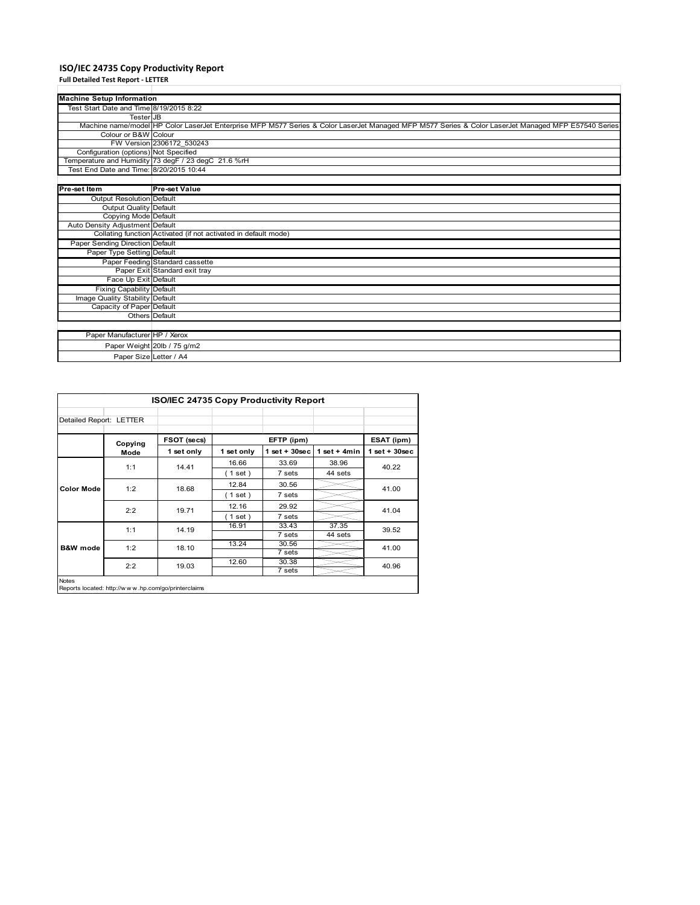# **ISO/IEC 24735 Copy Productivity Report**

| <b>Full Detailed Test Report - LETTER</b> |                                                                                                                                                     |
|-------------------------------------------|-----------------------------------------------------------------------------------------------------------------------------------------------------|
| <b>Machine Setup Information</b>          |                                                                                                                                                     |
| Test Start Date and Time 8/19/2015 8:22   |                                                                                                                                                     |
| <b>Tester</b> JB                          |                                                                                                                                                     |
|                                           | Machine name/model HP Color LaserJet Enterprise MFP M577 Series & Color LaserJet Managed MFP M577 Series & Color LaserJet Managed MFP E57540 Series |
| Colour or B&W Colour                      |                                                                                                                                                     |
|                                           | FW Version 2306172 530243                                                                                                                           |
| Configuration (options) Not Specified     |                                                                                                                                                     |
|                                           | Temperature and Humidity 73 degF / 23 degC 21.6 %rH                                                                                                 |
| Test End Date and Time: 8/20/2015 10:44   |                                                                                                                                                     |
|                                           |                                                                                                                                                     |
| Pre-set Item                              | <b>Pre-set Value</b>                                                                                                                                |
| Output Resolution Default                 |                                                                                                                                                     |
| <b>Output Quality Default</b>             |                                                                                                                                                     |
| Copying Mode Default                      |                                                                                                                                                     |
| Auto Density Adjustment Default           |                                                                                                                                                     |
|                                           | Collating function Activated (if not activated in default mode)                                                                                     |
| Paper Sending Direction Default           |                                                                                                                                                     |
| Paper Type Setting Default                |                                                                                                                                                     |
|                                           | Paper Feeding Standard cassette                                                                                                                     |
|                                           | Paper Exit Standard exit tray                                                                                                                       |
| Face Up Exit Default                      |                                                                                                                                                     |
| <b>Fixing Capability Default</b>          |                                                                                                                                                     |
| Image Quality Stability Default           |                                                                                                                                                     |
| Capacity of Paper Default                 |                                                                                                                                                     |
|                                           | Others Default                                                                                                                                      |
|                                           |                                                                                                                                                     |
| Paper Manufacturer HP / Xerox             |                                                                                                                                                     |
|                                           | Paper Weight 20lb / 75 g/m2                                                                                                                         |
|                                           | Paper Size Letter / A4                                                                                                                              |
|                                           |                                                                                                                                                     |

| <b>ISO/IEC 24735 Copy Productivity Report</b> |                 |             |            |                    |                      |                 |  |  |  |
|-----------------------------------------------|-----------------|-------------|------------|--------------------|----------------------|-----------------|--|--|--|
| Detailed Report: LETTER                       |                 |             |            |                    |                      |                 |  |  |  |
|                                               | Copying<br>Mode | FSOT (secs) | EFTP (ipm) |                    |                      | ESAT (ipm)      |  |  |  |
|                                               |                 | 1 set only  | 1 set only | $1$ set + $30$ sec | $1 set + 4 min$      | $1$ set + 30sec |  |  |  |
| <b>Color Mode</b>                             | 1:1             | 14.41       | 16.66      | 33.69              | 38.96                | 40.22           |  |  |  |
|                                               |                 |             | (1 set)    | 7 sets             | 44 sets              |                 |  |  |  |
|                                               | 1:2             | 18.68       | 12.84      | 30.56              |                      | 41.00           |  |  |  |
|                                               |                 |             | $1$ set)   | 7 sets             |                      |                 |  |  |  |
|                                               | 2:2             | 19.71       | 12.16      | 29.92              |                      | 41.04           |  |  |  |
|                                               |                 |             | (1 set)    | 7 sets             |                      |                 |  |  |  |
| <b>B&amp;W</b> mode                           | 1:1             | 14.19       | 16.91      | 33.43              | 37.35                | 39.52           |  |  |  |
|                                               |                 |             |            | 7 sets             | $\overline{44}$ sets |                 |  |  |  |
|                                               | 1:2             | 18.10       | 13.24      | 30.56              |                      | 41.00           |  |  |  |
|                                               |                 |             |            | 7 sets             |                      |                 |  |  |  |
|                                               | 2:2             | 19.03       | 12.60      | 30.38              |                      | 40.96           |  |  |  |
|                                               |                 |             |            | 7 sets             |                      |                 |  |  |  |